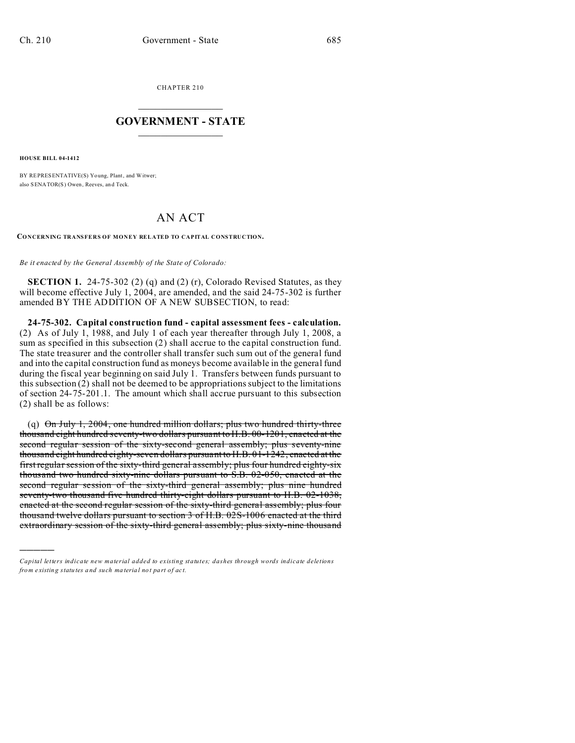CHAPTER 210  $\overline{\phantom{a}}$  , where  $\overline{\phantom{a}}$ 

## **GOVERNMENT - STATE**  $\_$   $\_$

**HOUSE BILL 04-1412**

)))))

BY REPRESENTATIVE(S) Yo ung, Plant, and Witwer; also SENATOR(S) Owen, Reeves, an d Teck.

## AN ACT

**CONCERNING TRANSFERS OF MONEY RELATED TO CAPITAL CONSTRUCTION.**

*Be it enacted by the General Assembly of the State of Colorado:*

**SECTION 1.** 24-75-302 (2) (q) and (2) (r), Colorado Revised Statutes, as they will become effective July 1, 2004, are amended, and the said 24-75-302 is further amended BY THE ADDITION OF A NEW SUBSECTION, to read:

**24-75-302. Capital construction fund - capital assessment fees - calculation.** (2) As of July 1, 1988, and July 1 of each year thereafter through July 1, 2008, a sum as specified in this subsection (2) shall accrue to the capital construction fund. The state treasurer and the controller shall transfer such sum out of the general fund and into the capital construction fund as moneys become available in the general fund during the fiscal year beginning on said July 1. Transfers between funds pursuant to this subsection (2) shall not be deemed to be appropriations subject to the limitations of section 24-75-201.1. The amount which shall accrue pursuant to this subsection (2) shall be as follows:

(q) On July 1, 2004, one hundred million dollars; plus two hundred thirty-three thousand eight hundred seventy-two dollars pursuant to H.B. 00-1201, enacted at the second regular session of the sixty-second general assembly; plus seventy-nine thousand eight hundred eighty-seven dollars pursuant to H.B. 01-1242, enacted at the first regular session of the sixty-third general assembly; plus four hundred eighty-six thousand two hundred sixty-nine dollars pursuant to S.B. 02-050, enacted at the second regular session of the sixty-third general assembly; plus nine hundred seventy-two thousand five hundred thirty-eight dollars pursuant to H.B. 02-1038, enacted at the second regular session of the sixty-third general assembly; plus four thousand twelve dollars pursuant to section 3 of H.B. 02S-1006 enacted at the third extraordinary session of the sixty-third general assembly; plus sixty-nine thousand

*Capital letters indicate new material added to existing statutes; dashes through words indicate deletions from e xistin g statu tes a nd such ma teria l no t pa rt of ac t.*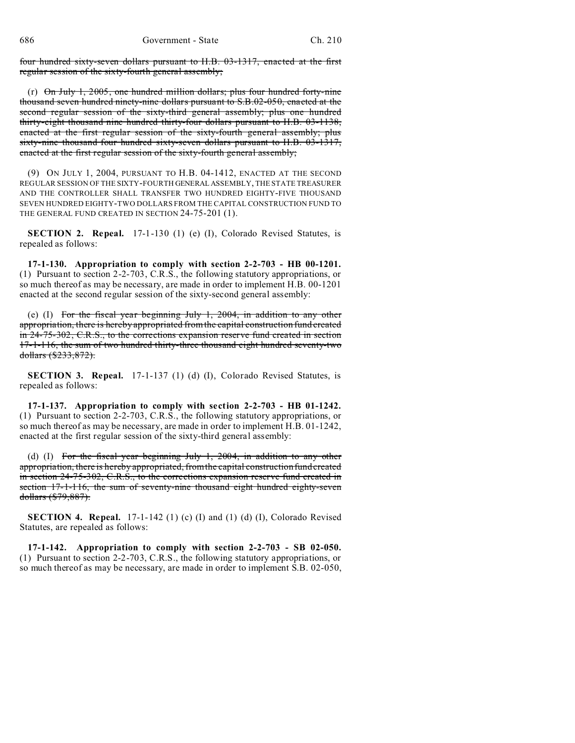four hundred sixty-seven dollars pursuant to H.B. 03-1317, enacted at the first regular session of the sixty-fourth general assembly;

(r) On July 1, 2005, one hundred million dollars; plus four hundred forty-nine thousand seven hundred ninety-nine dollars pursuant to S.B.02-050, enacted at the second regular session of the sixty-third general assembly; plus one hundred thirty-eight thousand nine hundred thirty-four dollars pursuant to H.B. 03-1138, enacted at the first regular session of the sixty-fourth general assembly; plus sixty-nine thousand four hundred sixty-seven dollars pursuant to H.B. 03-1317, enacted at the first regular session of the sixty-fourth general assembly;

(9) ON JULY 1, 2004, PURSUANT TO H.B. 04-1412, ENACTED AT THE SECOND REGULAR SESSION OF THE SIXTY-FOURTH GENERAL ASSEMBLY, THE STATE TREASURER AND THE CONTROLLER SHALL TRANSFER TWO HUNDRED EIGHTY-FIVE THOUSAND SEVEN HUNDRED EIGHTY-TWO DOLLARS FROM THE CAPITAL CONSTRUCTION FUND TO THE GENERAL FUND CREATED IN SECTION 24-75-201 (1).

**SECTION 2. Repeal.** 17-1-130 (1) (e) (I), Colorado Revised Statutes, is repealed as follows:

**17-1-130. Appropriation to comply with section 2-2-703 - HB 00-1201.** (1) Pursuant to section 2-2-703, C.R.S., the following statutory appropriations, or so much thereof as may be necessary, are made in order to implement H.B. 00-1201 enacted at the second regular session of the sixty-second general assembly:

(e) (I) For the fiscal year beginning July 1, 2004, in addition to any other appropriation, there is hereby appropriated from the capital construction fund created in 24-75-302, C.R.S., to the corrections expansion reserve fund created in section 17-1-116, the sum of two hundred thirty-three thousand eight hundred seventy-two dollars (\$233,872).

**SECTION 3. Repeal.** 17-1-137 (1) (d) (I), Colorado Revised Statutes, is repealed as follows:

**17-1-137. Appropriation to comply with section 2-2-703 - HB 01-1242.** (1) Pursuant to section 2-2-703, C.R.S., the following statutory appropriations, or so much thereof as may be necessary, are made in order to implement H.B. 01-1242, enacted at the first regular session of the sixty-third general assembly:

(d) (I) For the fiscal year beginning July 1, 2004, in addition to any other appropriation, there is hereby appropriated, from the capital construction fund created in section 24-75-302, C.R.S., to the corrections expansion reserve fund created in section 17-1-116, the sum of seventy-nine thousand eight hundred eighty-seven dollars (\$79,887).

**SECTION 4. Repeal.** 17-1-142 (1) (c) (I) and (1) (d) (I), Colorado Revised Statutes, are repealed as follows:

**17-1-142. Appropriation to comply with section 2-2-703 - SB 02-050.** (1) Pursuant to section 2-2-703, C.R.S., the following statutory appropriations, or so much thereof as may be necessary, are made in order to implement S.B. 02-050,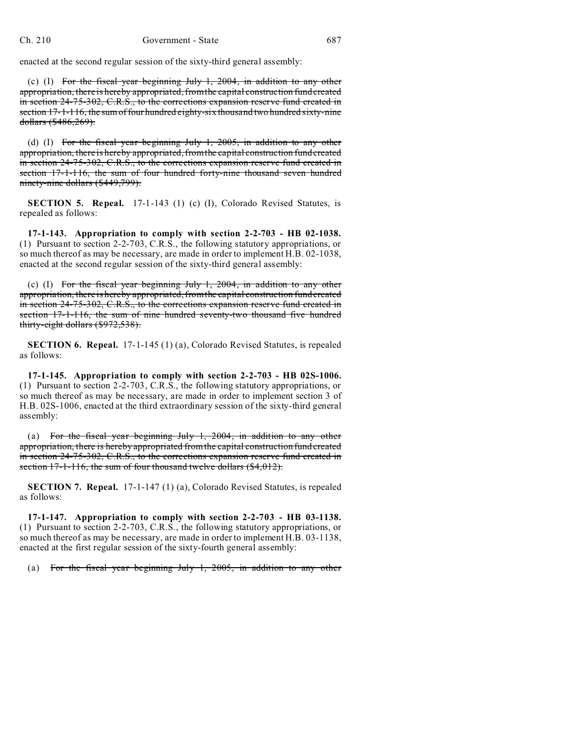enacted at the second regular session of the sixty-third general assembly:

(c) (I) For the fiscal year beginning July 1, 2004, in addition to any other appropriation, there is hereby appropriated, from the capital construction fund created in section 24-75-302, C.R.S., to the corrections expansion reserve fund created in section 17-1-116, the sum of four hundred eighty-six thousand two hundred sixty-nine dollars (\$486,269).

(d) (I) For the fiscal year beginning July 1, 2005, in addition to any other appropriation, there is hereby appropriated, from the capital construction fund created in section 24-75-302, C.R.S., to the corrections expansion reserve fund created in section 17-1-116, the sum of four hundred forty-nine thousand seven hundred ninety-nine dollars (\$449,799).

**SECTION 5. Repeal.** 17-1-143 (1) (c) (I), Colorado Revised Statutes, is repealed as follows:

**17-1-143. Appropriation to comply with section 2-2-703 - HB 02-1038.** (1) Pursuant to section 2-2-703, C.R.S., the following statutory appropriations, or so much thereof as may be necessary, are made in order to implement H.B. 02-1038, enacted at the second regular session of the sixty-third general assembly:

(c) (I) For the fiscal year beginning July 1,  $2004$ , in addition to any other appropriation, there is hereby appropriated, from the capital construction fund created in section 24-75-302, C.R.S., to the corrections expansion reserve fund created in section 17-1-116, the sum of nine hundred seventy-two thousand five hundred thirty-eight dollars (\$972,538).

**SECTION 6. Repeal.** 17-1-145 (1) (a), Colorado Revised Statutes, is repealed as follows:

**17-1-145. Appropriation to comply with section 2-2-703 - HB 02S-1006.** (1) Pursuant to section 2-2-703, C.R.S., the following statutory appropriations, or so much thereof as may be necessary, are made in order to implement section 3 of H.B. 02S-1006, enacted at the third extraordinary session of the sixty-third general assembly:

(a) For the fiscal year beginning July 1, 2004, in addition to any other appropriation, there is hereby appropriated from the capital construction fund created in section 24-75-302, C.R.S., to the corrections expansion reserve fund created in section 17-1-116, the sum of four thousand twelve dollars (\$4,012).

**SECTION 7. Repeal.** 17-1-147 (1) (a), Colorado Revised Statutes, is repealed as follows:

**17-1-147. Appropriation to comply with section 2-2-703 - HB 03-1138.** (1) Pursuant to section 2-2-703, C.R.S., the following statutory appropriations, or so much thereof as may be necessary, are made in order to implement H.B. 03-1138, enacted at the first regular session of the sixty-fourth general assembly:

(a) For the fiscal year beginning July 1, 2005, in addition to any other